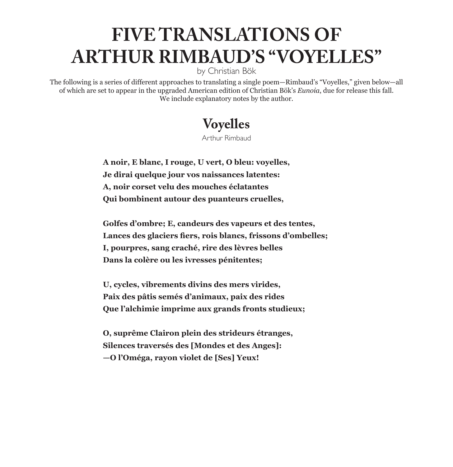# **FIVE TRANSLATIONS OF ARTHUR RIMBAUD'S "VOYELLES"**

by Christian Bök

The following is a series of different approaches to translating a single poem—Rimbaud's "Voyelles," given below—all of which are set to appear in the upgraded American edition of Christian Bök's *Eunoia*, due for release this fall. We include explanatory notes by the author.

## **Voyelles**

Arthur Rimbaud

**A noir, E blanc, I rouge, U vert, O bleu: voyelles, Je dirai quelque jour vos naissances latentes: A, noir corset velu des mouches éclatantes Qui bombinent autour des puanteurs cruelles,**

**Golfes d'ombre; E, candeurs des vapeurs et des tentes, Lances des glaciers fiers, rois blancs, frissons d'ombelles; I, pourpres, sang craché, rire des lèvres belles Dans la colère ou les ivresses pénitentes;**

**U, cycles, vibrements divins des mers virides, Paix des pâtis semés d'animaux, paix des rides Que l'alchimie imprime aux grands fronts studieux;**

**O, suprême Clairon plein des strideurs étranges, Silences traversés des [Mondes et des Anges]: —O l'Oméga, rayon violet de [Ses] Yeux!**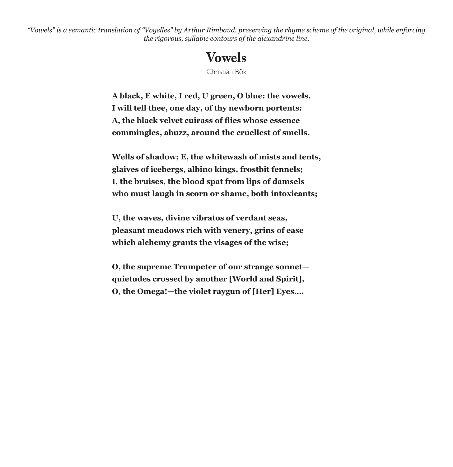*"Vowels" is a semantic translation of "Voyelles" by Arthur Rimbaud, preserving the rhyme scheme of the original, while enforcing the rigorous, syllabic contours of the alexandrine line.*

### **Vowels**

Christian Bök

**A black, E white, I red, U green, O blue: the vowels. I will tell thee, one day, of thy newborn portents: A, the black velvet cuirass of flies whose essence commingles, abuzz, around the cruellest of smells,**

**Wells of shadow; E, the whitewash of mists and tents, glaives of icebergs, albino kings, frostbit fennels; I, the bruises, the blood spat from lips of damsels who must laugh in scorn or shame, both intoxicants;**

**U, the waves, divine vibratos of verdant seas, pleasant meadows rich with venery, grins of ease which alchemy grants the visages of the wise;**

**O, the supreme Trumpeter of our strange sonnet quietudes crossed by another [World and Spirit], O, the Omega!—the violet raygun of [Her] Eyes….**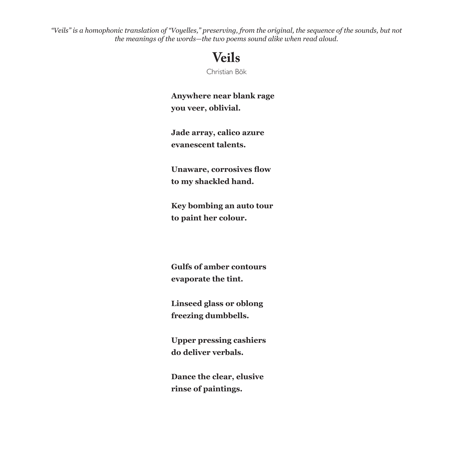*"Veils" is a homophonic translation of "Voyelles," preserving, from the original, the sequence of the sounds, but not the meanings of the words—the two poems sound alike when read aloud.*

#### **Veils**

Christian Bök

**Anywhere near blank rage you veer, oblivial.**

**Jade array, calico azure evanescent talents.**

**Unaware, corrosives flow to my shackled hand.**

**Key bombing an auto tour to paint her colour.**

**Gulfs of amber contours evaporate the tint.**

**Linseed glass or oblong freezing dumbbells.**

**Upper pressing cashiers do deliver verbals.**

**Dance the clear, elusive rinse of paintings.**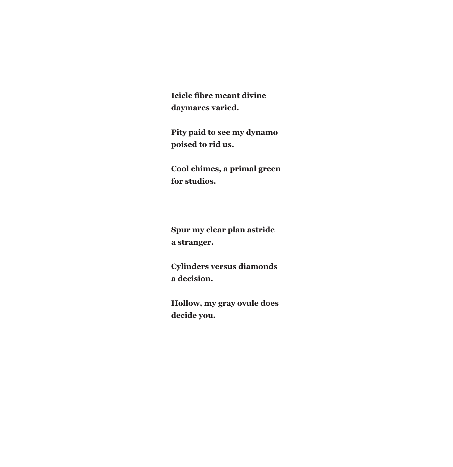**Icicle fibre meant divine daymares varied.**

**Pity paid to see my dynamo poised to rid us.**

**Cool chimes, a primal green for studios.**

**Spur my clear plan astride a stranger.**

**Cylinders versus diamonds a decision.**

**Hollow, my gray ovule does decide you.**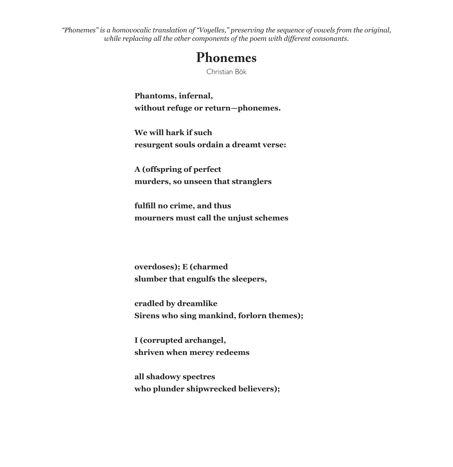*"Phonemes" is a homovocalic translation of "Voyelles," preserving the sequence of vowels from the original, while replacing all the other components of the poem with different consonants.*

#### **Phonemes**

Christian Bök

**Phantoms, infernal, without refuge or return—phonemes.**

**We will hark if such resurgent souls ordain a dreamt verse:**

**A (offspring of perfect murders, so unseen that stranglers**

**fulfill no crime, and thus mourners must call the unjust schemes**

**overdoses); E (charmed slumber that engulfs the sleepers,**

**cradled by dreamlike Sirens who sing mankind, forlorn themes);**

**I (corrupted archangel, shriven when mercy redeems**

**all shadowy spectres who plunder shipwrecked believers);**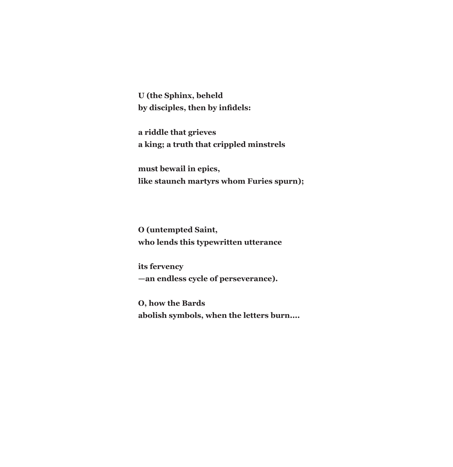**U (the Sphinx, beheld by disciples, then by infidels:**

**a riddle that grieves a king; a truth that crippled minstrels**

**must bewail in epics, like staunch martyrs whom Furies spurn);**

**O (untempted Saint, who lends this typewritten utterance**

**its fervency —an endless cycle of perseverance).**

**O, how the Bards abolish symbols, when the letters burn....**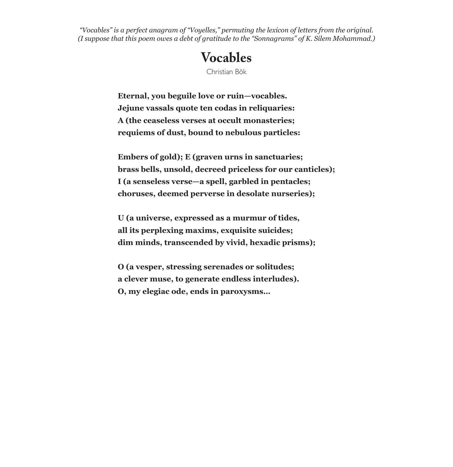*"Vocables" is a perfect anagram of "Voyelles," permuting the lexicon of letters from the original. (I suppose that this poem owes a debt of gratitude to the "Sonnagrams" of K. Silem Mohammad.)*

## **Vocables**

Christian Bök

**Eternal, you beguile love or ruin—vocables. Jejune vassals quote ten codas in reliquaries: A (the ceaseless verses at occult monasteries; requiems of dust, bound to nebulous particles:**

**Embers of gold); E (graven urns in sanctuaries; brass bells, unsold, decreed priceless for our canticles); I (a senseless verse—a spell, garbled in pentacles; choruses, deemed perverse in desolate nurseries);**

**U (a universe, expressed as a murmur of tides, all its perplexing maxims, exquisite suicides; dim minds, transcended by vivid, hexadic prisms);**

**O (a vesper, stressing serenades or solitudes; a clever muse, to generate endless interludes). O, my elegiac ode, ends in paroxysms…**